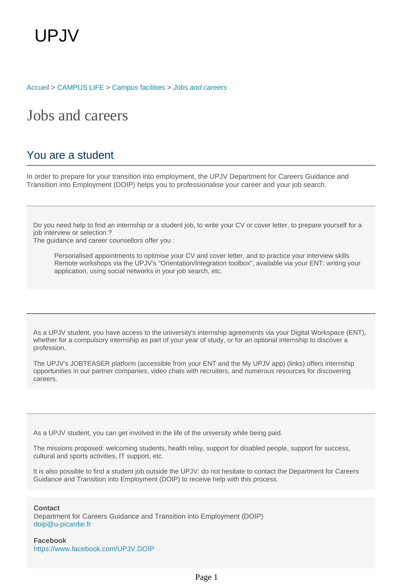[Accueil](https://welcome.u-picardie.fr/) > [CAMPUS LIFE](https://welcome.u-picardie.fr/campus-life/) > [Campus facilities](https://welcome.u-picardie.fr/campus-life/campus-facilities/) > [Jobs and careers](https://welcome.u-picardie.fr/campus-life/campus-facilities/jobs-and-careers/)

## Jobs and careers

## You are a student

In order to prepare for your transition into employment, the UPJV Department for Careers Guidance and Transition into Employment (DOIP) helps you to professionalise your career and your job search.

Do you need help to find an internship or a student job, to write your CV or cover letter, to prepare yourself for a job interview or selection ?

The guidance and career counsellors offer you :

Personalised appointments to optimise your CV and cover letter, and to practice your interview skills Remote workshops via the UPJV's "Orientation/Integration toolbox", available via your ENT: writing your application, using social networks in your job search, etc.

As a UPJV student, you have access to the university's internship agreements via your Digital Workspace (ENT), whether for a compulsory internship as part of your year of study, or for an optional internship to discover a profession.

The UPJV's JOBTEASER platform (accessible from your ENT and the My UPJV app) (links) offers internship opportunities in our partner companies, video chats with recruiters, and numerous resources for discovering careers.

As a UPJV student, you can get involved in the life of the university while being paid.

The missions proposed: welcoming students, health relay, support for disabled people, support for success, cultural and sports activities, IT support, etc.

It is also possible to find a student job outside the UPJV: do not hesitate to contact the Department for Careers Guidance and Transition into Employment (DOIP) to receive help with this process.

**Contact**

Department for Careers Guidance and Transition into Employment (DOIP) doip@u-picardie.fr

**Facebook** <https://www.facebook.com/UPJV.DOIP>